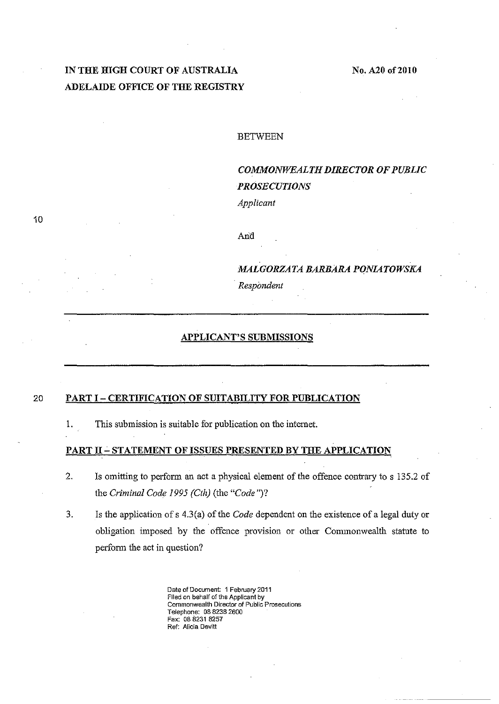# IN THE HIGH COURT OF AUSTRALIA ADELAIDE OFFICE OF THE REGISTRY

10

## **BETWEEN**

*COMMONWEALTH DIRECTOR OF PUBLIC PROSECUTIONS Applicant* 

Arid

*MALGORZATA BARBARA PONIATOWSKA . Respondent* 

#### APPLICANT'S SUBMISSIONS

## 20 PART I - CERTIFICATION OF SUITABILITY FOR PUBLICATION

1. This submission is suitable for publication on the internet.

## PART II - STATEMENT OF ISSUES PRESENTED BY THE APPLICATION

- 2. Is omitting to perform an act a physical element of the offence contrary to s 135.2 of the *Criminal Code* 1995 *(Cth)* (the *"Code* ")?
- 3. Is the application of s 4.3(a) of the *Code* dependent on the existence of a legal duty or obligation imposed by the offence provision or other Commonwealth statute to perform the act in question?

**Date of Document 1 February 2011 Filed on behalf of the Applicant by Commonwealth Director of Public Prosecutions**  Telephone: 0882382600 Fax: 08 8231 8257 **Ret. Alicia Devitt**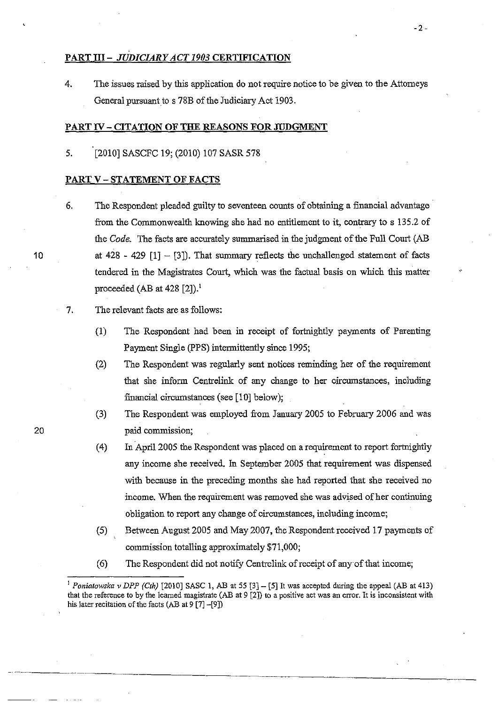## **PARTIII-** *JUDICIARY ACT 1903* **CERTIFICATION**

4. The issues raised by this application do not require notice to be given to the Attorneys General pursuant to s 78B of the Judiciary Act 1903.

#### **PART IV - CITATION OF THE REASONS FOR JUDGMENT**

5. [2010] SASCFC 19; (2010) 107 SASR 578

## **PART V - STATEMENT OF FACTS**

- 6. The Respondent pleaded guilty to seventeen counts of obtaining a financial advantage from the Commonwealth knowing she had no entitlement to it, contrary to s 135.2 of the Code. The facts are accurately summarised in the judgment of the Full Court (AB at  $428 - 429$  [1]  $-$  [3]). That summary reflects the unchallenged statement of facts tendered in the Magistrates Court, which was the factual basis on which this matter proceeded (AB at 428  $[2]$ ).<sup>1</sup>
- 7. The relevant facts are as follows:
	- (1) The Respondent had been in receipt of fortnightly payments of Parenting Payment Single (PPS) intermittently since 1995;
	- (2) The Respondent was regularly sent notices reminding her of the requirement that she inform Centrelink of any change to her circumstances, including financial circumstances (see  $[10]$  below);
	- (3) The Respondent was employed from January 2005 to February 2006 and was paid commission;
	- (4) In April 2005 the Respondent was placed on a requirement to report fortnightly any income she received. In September 2005 that requirement was dispensed with because in the preceding months she had reported that she received no income. When the requirement was removed she was advised of her continuing obligation to report any change of circumstances, including income;
	- (5) Between August 2005 and May 2007, the Respondent received 17 payments of commission totalling approximately \$71,000;
	- (6) The Respondent did not notify Centrelink of receipt of any of that income;

20

<sup>&</sup>lt;sup>1</sup> Poniatowska v DPP (Cth) [2010] SASC 1, AB at 55 [3] - [5] It was accepted during the appeal (AB at 413) that the reference to by the learned magistrate (AB at 9 [2]) 10 a positive act was an error. It is inconsistent with his later recitation of the facts (AB at 9 [7]-[9])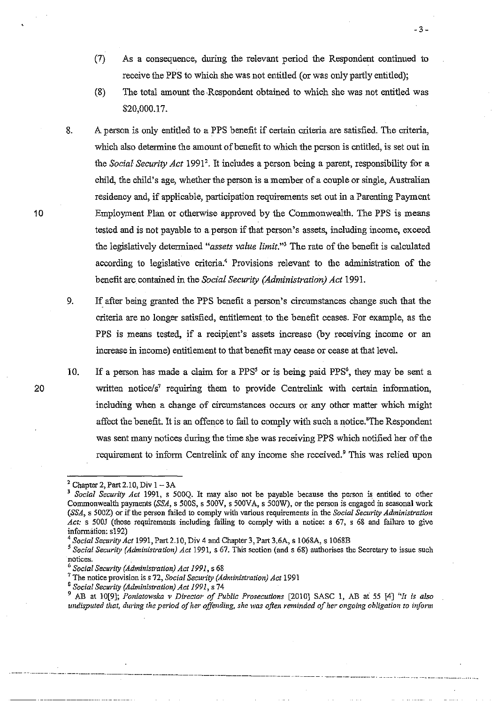(7) As a consequence, during the relevant period the Respondent continued to receive the PPS to which she was not entitled (or was only partly entitled);

-3-

- (8) The total amount the ,Respondent obtained to which she was not entitled was \$20,000.17.
- 8. A person is only entitled to a PPS benefit if certain criteria are satisfied. The criteria, which also determine the amount of benefit to which the person is entitled, is set out in the *Social Security Act* 1991'. It includes a person being a parent, responsibility for a child, the child's age, whether the person is a member of a couple or single, Australian residency and, if applicable, participation requirements set out in a Parenting Payment Employment Plan or otherwise approved by the Commonwealth. The PPS is means tested and is not payable to a person if that person's assets, including income, exceed the legislatively determined *"assets value limit.*"<sup>3</sup> The rate of the benefit is calculated according to legislative criteria.' Provisions relevant to the administration of the benefit are contained in the *Social Security (Administration) Act 1991.*
- 9. If after being granted the PPS benefit a person's circumstances change such that the criteria are no longer satisfied, entitlement to the benefit ceases. For example, as the PPS is means tested, if a recipient's assets increase (by receiving income or an increase in income) entitlement to that benefit may cease or cease at that level.
- 10. If a person has made a claim for a PPS' or is being paid PPS', they may be sent a written notice/s<sup>7</sup> requiring them to provide Centrelink with certain information, including when a change of circumstances occurs or any other matter which might affect the benefit. It is an offence to fail to comply with such a notice.'The Respondent was sent many notices during the time she was receiving PPS which notified her of the requirement to inform Centrelink of any income she received.<sup>9</sup> This was relied upon

S *Social Security (Administration) Act* 1991, s 74

**. \_\_ .. \_\_ ... \_-\_.\_----.\_----\_. \_\_ ... \_-\_.\_ .. \_-------\_ .•. \_--**----------\_.\_-.\_-- '--' ... \_\_ .- - . " •.•. \_ .. \_--,------\_. ,-, .... \_- -,.\_.- --.- ---\_ ... -.... "---\_.

20

'. \_\_ . \_\_ .\_.-.

 $2$  Chapter 2, Part 2.10, Div  $1-3A$ 

*<sup>3</sup> Social Security Act* 1991, s SOOQ. It may also not be payable because the person is entitled to other Commonwealth payments *(SSA,* s SOOS, s SOOV, s 500VA, s SOOW), or the person is engaged in seasonal work *(SSA,* s SOOZ) or if the person failed to comply with various requirements in the *Social Security Administration Act:* s 500J (those requirements including failing to comply with a notice: s 67, s 68 and failure to give information: s192)

*Social Security Act* 1991, Part 2.10, Div 4 and Chapter 3, Part 3.6A, s 1068A, s 1068B

*<sup>5</sup> Social Security (Administration) Act* 1991, s 67. This section (and s 68) authorises the Secretary to issue such **notices.** .

<sup>&</sup>lt;sup>6</sup> Social Security (Administration) Act 1991, s 68

<sup>&</sup>lt;sup>7</sup> The notice provision is s 72, *Social Security (Administration) Act* 1991

<sup>9</sup> AB at JO[9]; *Poniatowska* v *Director of Public Prosecutions* [2010] SASC 1, AB at 55 [4] "It is *also*  undisputed that, during the period of her offending, she was often reminded of her ongoing obligation to inform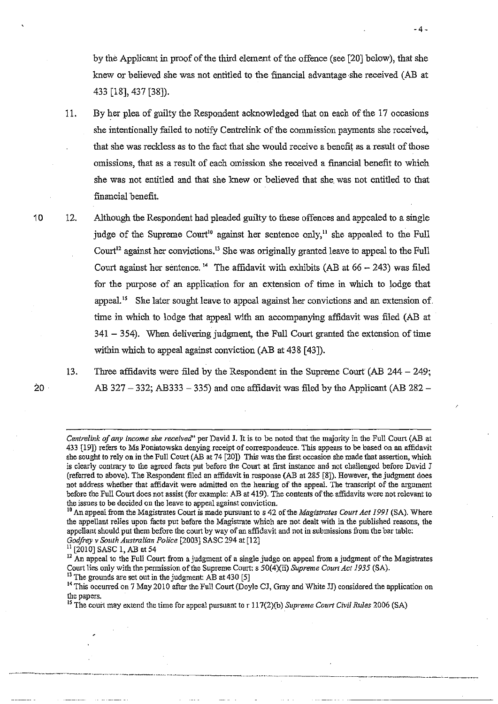by the Applicant in proof of the third element of the offence (see [20] below), that she knew or believed she was not entitled to the financial advantage ·she received (AB at 433 [18],437 [38]).

- 11. By her plea of guilty the Respondent acknowledged that on each of the 17 occasions she intentionally failed to notify Centrelink of the commission payments she received, that she was reckless as to the fact that she would receive a benefit as a result of those omissions, that as a result of each omission she received a financial benefit to which she was not entitled and that she knew or believed that she. was not entitled to that financial benefit.
- 12. Although the Respondent had pleaded guilty to these offences and appealed to a single judge of the Supreme Court<sup>10</sup> against her sentence only,<sup>11</sup> she appealed to the Full Court<sup>12</sup> against her convictions.<sup>13</sup> She was originally granted leave to appeal to the Full Court against her sentence.<sup>14</sup> The affidavit with exhibits (AB at  $66 - 243$ ) was filed for the purpose of an application for an extension of time in which to lodge that appeal.<sup>15</sup> She later sought leave to appeal against her convictions and an extension of. time in which to lodge that appeal with an accompanying affidavit was filed (AB at  $341 - 354$ . When delivering judgment, the Full Court granted the extension of time within which to appeal against conviction (AB at 438 [43]).

20

10

13. Three affidavits were filed by the Respondent in the Supreme Court (AB 244 - 249; AB  $327 - 332$ ; AB $333 - 335$ ) and one affidavit was filed by the Applicant (AB 282 –

---------\_.\_.\_. \_\_ ... \_-\_ ... \_------ \_ ... \_---------- ---\_ .. ------------.\_----------.----- ---

-------------

*Centrelink of any income she received"* per David J. It is to be noted that the majority in the Full Court (AB at 433 [19)) refers to Ms Poniatowska denying receipt of correspondence. This appears to be based on an affidavit she sougbt to rely on in the Full Court (AB at 74 [20)) This was the first occasion she made that assertion, which is clearly contrary to the agreed facts put before the Court at first instance and not challenged before David J (referred to above). The Respondent filed an affidavit in response (AB at 285 [8]). However, the judgment does not address whether that affidavit were admitted on the hearing of the appeal. The transcript of the argument before the Full Court does not assist (for example: AB at 419). The contents of the affidavits were not relevant to the issues to be decided on the leave to appeal against conviction.

<sup>&</sup>lt;sup>10</sup> An appeal from the Magistrates Court is made pursuant to s 42 of the *Magistrates Court Act 1991* (SA). Where the appellant relies upon facts put before the Magistrate which are not dealt with in the published reasons, the appellant should put them before the court by way of an affidavit and not in submissions from the bar table: *Godfrey* v *South Australian Police* [2003J SASC 294 at [12]

 $11$  [2010] SASC 1, AB at 54

 $12$  An appeal to the Full Court from a judgment of a single judge on appeal from a judgment of the Magistrates Court lies only with the permission of the Supreme Court: s 50(4)(ii) *Supreme Court Act* 1935 (SA). <sup>13</sup> The grounds are set out in the judgment: AB at 430 [5]

<sup>&</sup>lt;sup>14</sup> This occurred on 7 May 2010 after the Full Court (Doyle CJ, Gray and White JJ) considered the application on the papers.

<sup>&</sup>lt;sup>15</sup> The court may extend the time for appeal pursuant to r 117(2)(b) Supreme Court Civil Rules 2006 (SA)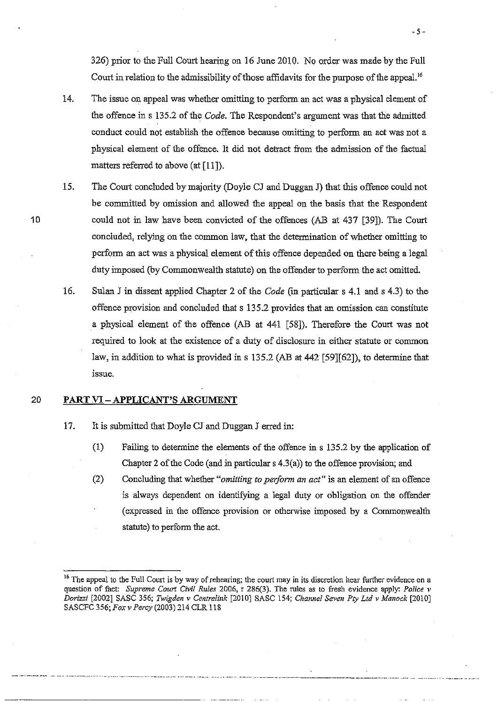326) prior to the Full Court hearing on 16 June 2010. No order was made by the Full Court in relation to the admissibility of those affidavits for the purpose of the appeal."

·5·

- 14. The issue on appeal was whether omitting to perform an act was a physical element of the offence in s 135.2 of the *Code.* The Respondent's argument was that the admitted conduct could not establish the offence because omitting to perform an act was not a physical element of the offence. It did not detract from the admission of the factual matters referred to above (at [11]).
- 15. The Court concluded by majority (Doyle CJ and Duggan J) that this offence could not be committed by omission and allowed the appeal on the basis that the Respondent could not in law have been convicted of the offences (AB at 437 [39]). The Court concluded, relying on the common law, that the determination of whether omitting to perfonn an act was a physical element of this offence depended on there being a legal duty imposed (by Commonwealth statute) on the offender to perform the act omitted.
- 16. Sulan J in dissent applied Chapter 2 of the *Code* (in particular s 4.1 and s 4.3) to the offence provision and concluded that s 135.2 provides that an omission can constitute a physical element of the offence (AB at 441 [58]). Therefore the Court was not required to look at the existence of a duty of disclosure in either statute or common law, in addition to what is provided in s 135.2 (AB at 442 [59][62]), to determine that issue.

#### 20 **PART VI - APPLICANT'S ARGUMENT**

- 17. It is submitted that Doyle CJ and Duggan J erred in:
	- (1) Failing to determine the elements of the offence in s 135.2 by the application of Chapter 2 of the Code (and in particular s 4.3(a)) to the offence provision; and
	- (2) Concluding that whether *"omitting to peifonn an act"* is an element of an offence is always dependent on identifying a legal duty or obligation on the offender (expressed in the offence provision or otherwise imposed by a Commonwealth statute) to perform the act.

<sup>&</sup>lt;sup>16</sup> The appeal to the Full Court is by way of rehearing; the court may in its discretion hear further evidence on a question of fact: *Supreme Court Civil Rules* 2006, r 286(3). The rules as to fresh evidence apply: *Police* v *Dorizzi* [2002] SASC 356; *Twigden v Centrelink* [2010] SASC 154; *Channel Seven Pty Ltd v Manoek [2010]*  SASCFC *356;Foxv Pare),* (2003) 214 CLR 118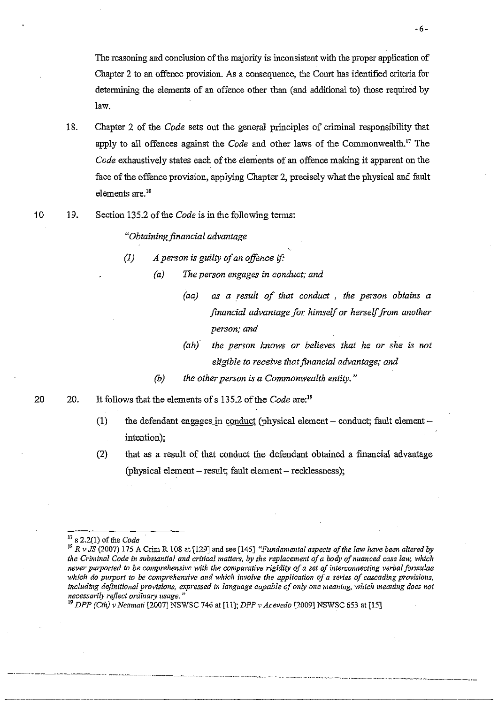The reasoning and conclusion of the majority is inconsistent with the proper application of Chapter 2 to an offence provision. As a consequence, the Court has identified criteria for determining the elements of an offence other than (and additional to) those required by law.

-6-

- 18. Chapter 2 of the *Code* sets out the general principles of criminal responsibility that apply to all offences against the *Code* and other laws of the Commonwealth." The *Code* exhaustively states each of the elements of an offence making it apparent on the face of the offence provision, applying Chapter 2, precisely what the physical and fault elements are.<sup>18</sup>
- 10 19. Section 135.2 of the *Code* is in the following terms:

*"Obtaining finanCial advantage* 

- *(1) A person* is *guilty of an offence if:* 
	- *(a) The person engages* in *conduct; and* 
		- *(aa) as a result of that conduct* , *the person obtains a financial advantage for himself or herself from another person; and*
		- *(ab/ the person knows or believes that he or she* is *not eligible to receive that financial advantage; and*
		- *(b) the other person* is *a Commonwealth entity. "*
- 20. It follows that the elements of s 135.2 of the *Code* are:<sup>19</sup>
	- (1) the defendant engages in conduct (physical element conduct; fault element intention);
	- (2) that as a result of that conduct the defendant obtained a financial advantage (physical element - result; fault element - recklessness);

20

-.-~ ----- --------\_. \_. --~ -- - -~- ...... ~--~~-.---.-.--.• --.-----.-.•. ---.... -----.--~ .. \_--.. - .... \_ ... -----.\_---.\_ ..• --\_ .. - -.--.-.-. \_\_ .\_--\_ .. -----\_. --\_. \_\_ .. -

--------\_.\_---- --. ----------------------

<sup>17</sup> s 2.2(1) of the *Code* 

<sup>&</sup>lt;sup>18</sup> R v JS (2007) 175 A Crim R 108 at [129] and see [145] *"Fundamental aspects of the law have been altered by the Criminal Code in substantial and critical matters, by the replacement of a body ofnuanced case law, which never purported to be comprehensive with the comparative rigidity of a set of interconnecting verbal fonnulae*  which do purport to be comprehensive and which involve the application of a series of cascading provisions, including definitional provisions, expressed in language capable of only one meaning, which meaning does not *necessarily reflect ordinary usage. <sup>11</sup>*

<sup>19</sup>*DPP (Cth) v Neamati* [2007] NSWSC 746 at [11]; *DI'P* l' *Acevedo* [2009] NSWSC 653 at [15]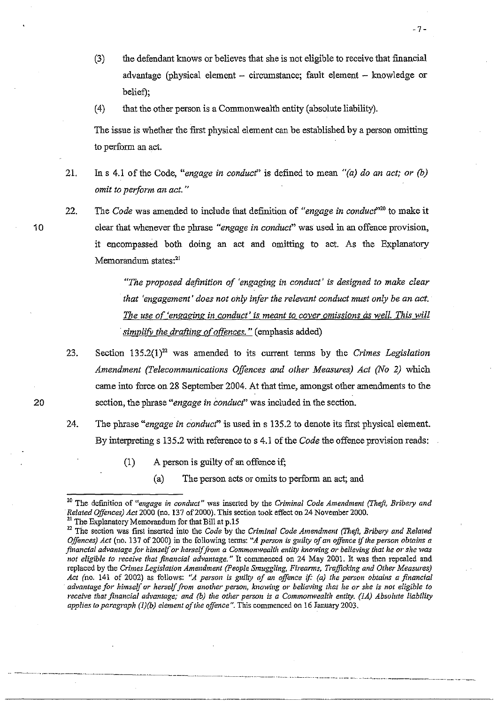(3) the defendant knows or believes that she is not eligible to receive that financial advantage (physical element  $-$  circumstance; fault element  $-$  knowledge or belief);

-7-

(4) that the other person is a Commonwealth entity (absolute liability).

The issue is whether the first physical element can be established by a person omitting to perform an act.

- 21. In s 4.1 of the Code, *"engage* in *conduct"* is defined to mean *"(a) do an act; or (b) omit to perform an act. "*
- 22. The *Code* was amended to include that definition of *"engage* in *conduct"20* to make it clear that whenever the phrase *"engage* in *conduct"* was used in an offence provision, it encompassed both doing an act and omitting to act. As the Explanatory Memorandum states:<sup>21</sup>

*"The proposed definition of 'engaging* in *conduct'* is *designed to make clear that 'engagement' does not only infer the relevant conduct must only be an act. The use of 'engaging in conduct' is meant to cover omissions as well. This will* simplify the drafting of offences." (emphasis added)

- 23. Section 135.2(1)22 was amended to its current terms by the *Crimes Legislation Amendment (Telecommunications Offences and other Measures) Act (No* 2) which came into force on 28 September 2004. At that time, amongst other amendments to the section, the phrase *"engage in conducf'* was included in the section.
- 24. The phrase *"engage in conduct'* is used in s 135.2 to denote its first physical element. By interpreting s 135.2 with reference to s 4.1 of the *Code* the offence provision reads:
	- (1) A person is guilty of an offence if;
		- (a) The person acts or omits to perform an act; and

.... -.----~.--.---------.. --.--------.----.--~.-.----.-. -.~ .. - ... ---.--... ~ .. " .. - ..•...... -- .. .... . \_ •... \_ .... --.\_--.\_-.\_--.. \_.\_------

10

<sup>&</sup>lt;sup>20</sup> The definition of *"engage in conduct"* was inserted by the *Criminal Code Amendment (Theft, Bribery and Related Offences) Act* 2000 (no. 137 of2000). This section took effect on 24 November 2000. <sup>21</sup> The Explanatory Memorandum for that Bill at p.15

<sup>&</sup>lt;sup>22</sup> The section was first inserted into the *Code* by the *Criminal Code Amendment (Theft, Bribery and Related Offences) Act* (no. 137 of 2000) in the following terms: "A person is guilty of an offence if the person obtains a *financial advantage for himself or herself from a Commonwealth entity knowing* **0]'** *believing that he* **01'** *she was not eligible to ,'eceive that financial advantage.* " It commenced on 24 May 2001. It was then repealed and replaced by the *Crimes Legislation Amendment (People Smuggling, Firearms, Trafficldng and Other Measw'es) Act* (no. 141 of 2002) as follows: *"A person is gnilty of an offence if: (a) the person obtains a financial advantage for himself or herself from another person, lmowing or believing that he or she is not eligible to*  receive that financial advantage; and (b) the other person is a Commonwealth entity. (1A) Absolute liability *applies to paragraph* (J)(b) *element of the offence".* This commenced on 16 January 2003 .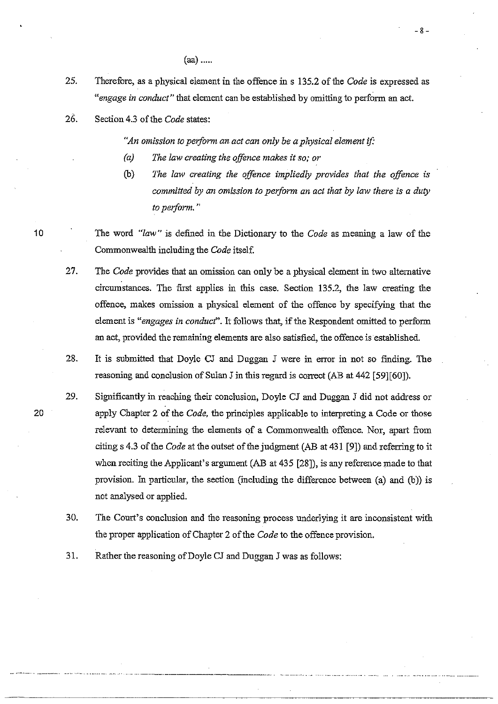(aa) .....

- 25. Therefore, as a physical element in the offence in s 135.2 of the *Code* is expressed as *"engage in conduct"* that element can be established by omitting to perform an act.
- 26. Section 4.3 of the *Code* states:

*"An omission to perform an act can only be a physical element if:* 

- *(aJ The law creating the offence makes it so; or*
- (b) *The law creating the offence impliedly provides that the offence* is *committed by an omission to peiform an act that by law there* is *a duty to peiform. "*

-8-

The word *"law"* is defined in the Dictionary to the *Code* as meaning a law of the Commonwealth including the *Code* itself

- 27. The *Code* provides that an omission can only be a physical element in two alternative circumstances. The first applies in this case. Section 135.2, the law creating the offence, makes omission a physical element of the offence by specifying that the element is *"engages in conduct".* It follows that, if the Respondent omitted to perform an act, provided the remaining elements are also satisfied, the offence is established.
- 28. It is submitted that Doyle CJ and Duggan J were in error in not so finding. The reasoning and conclusion of Sulan J in this regard is correct (AB at 442 [59][60]).
- 29. Significantly in reaching their conclusion, Doyle CJ and Duggan J did not address or apply Chapter 2 of the *Code,* the principles applicable to interpreting a Code or those relevant to determining the elements of a Commonwealth offence. Nor, apart from citing s 4.3 of the *Code* at the outset of the judgment (AB at 431 [9]) and referring to it when reciting the Applicant's argument (AB at 435 [28]), is any reference made to that provision. In particular, the section (including the difference between  $(a)$  and  $(b)$ ) is not analysed or applied.
- 30. The Court's conclusion and the reasoning process underlying it are inconsistent with the proper application of Chapter 2 of the *Code* to the offence provision.

31. Rather the reasoning ofDoyle CJ and Duggan J was as follows:

10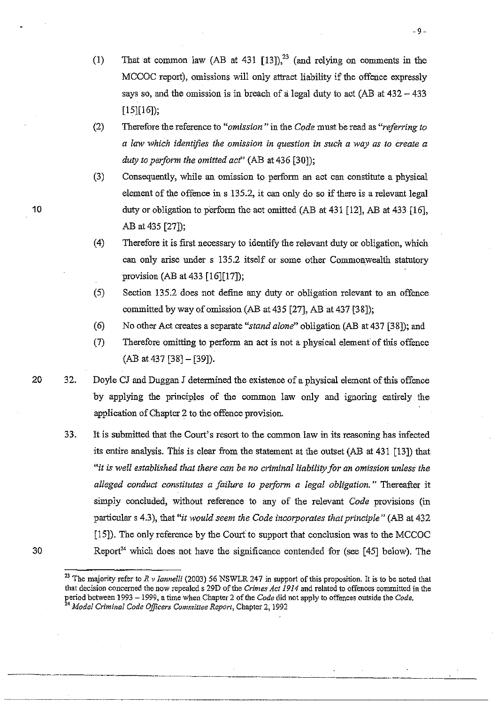- (1) That at common law (AB at 431 [13]),<sup>23</sup> (and relying on comments in the MCCOC report), omissions will only attract liability if the offence expressly says so, and the omission is in breach of a legal duty to act (AB at  $432 - 433$ ) [15][16]);
- (2) Therefore the reference to *"omission"* in the *Code* must be read as *"referring to a law which identifies the omission in question in such a way as to create a duty to perform the omitted act*" (AB at 436 [30]);
- (3) Consequently, while an omission to perform an act can constitute a physical element of the offence in s 135.2, it can only do so if there is a relevant legal duty or obligation to perform the act omitted (AB at 431 [12], AB at 433 [16], AB at 435 [27]);
- (4) Therefore it is first necessary to identify the relevant duty or obligation, which can only arise under s 135.2 itself or some other Commonwealth statutory provision (AB at 433 [16][17]);
- (5) Section 135.2 does not define any duty or obligation relevant to an offence committed by way of omission (AB at 435 [27], AB at 437 [38]);
- (6) No other Act creates a separate *"stand alone"* obligation (AB at 437 [38]); and
- (7) Therefore omitting to perform an act is not a physical element of this offence (AB at 437 [38]- [39]).
- 32. Doyle CJ and Duggan J determined the existence of a physical element of this offence by applying the principles of the common law only and ignoring entirely the application of Chapter 2 to the offence provision.
- 33. It is submitted that the Court's resort to the common law in its reasoning has infected its entire analysis. This is clear from the statement at the outset (AB at 431 [13]) that <sup>"it</sup> is well established that there can be no criminal liability for an omission unless the alleged conduct constitutes a failure to perform a legal obligation." Thereafter it simply concluded, without reference to any of the relevant *Code* provisions (in particular s 4.3), that *"it would seem the Code incorporates that principle"* (AB at 432 [15]). The only reference by the Court'to support that conclusion was to the MCCOC Report<sup>24</sup> which does not have the significance contended for (see [45] below). The

--------------.--.----.-~----.-.--.------------ \_\_\_ .\_"\_ .. -\_0 \_\_\_ .0 \_\_ 0 \_\_\_\_\_\_ 0 \_\_\_\_\_\_ "\_ .. \_-

10

<sup>&</sup>lt;sup>23</sup> The majority refer to *R v Iannelli* (2003) 56 NSWLR 247 in support of this proposition. It is to be noted that that decision concerned the now repealed s 29D of the *Crimes Act* 1914 and related to offences committed in the period between 1993 - 1999, a time when Chapter 2 of the Code did not apply to offences outside the Code. **<sup>24</sup>***Model Criminal Code Officers Committee Report,* **Chapter 2,1992**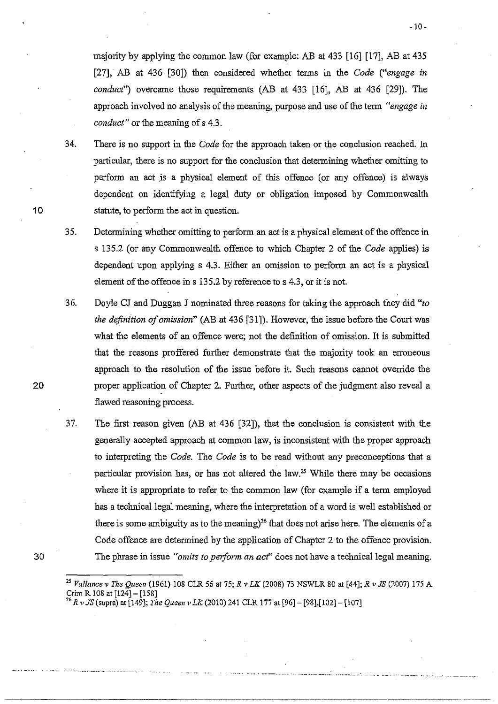majority by applying the common law (for example: AB at 433 [16] [17], AB at 435 [27], AB at 436 [30]) then considered whether tenns in the *Code ("engage* in *conduct*") overcame those requirements (AB at 433 [16], AB at 436 [29]). The approach involved no analysis of the meaning, purpose and use of the tenn *"engage* in *conduct"* or the meaning of s 4.3.

 $-10 -$ 

...... --. \_\_ ...... \_\_ .\_ .. ,', .... -- .. -\_ .. - .. ,,-.. \_\_ .. " .... --\_.' -,- -\_.\_--...

34. There is no support in the *Code* for the approach taken or the conclusion reached. In particular, there is no support for the conclusion that determining whether omitting to perform an act is a physical element of this offence (or any offence) is always dependent on identifying a legal duty or obligation imposed by Commonwealth statute, to perform the act in question.

**35.** Determining whether omitting to perform an act is a physical element of the offence in s 135.2 (or any Commonwealth offence to which Chapter 2 of the *Code* applies) is dependent upon applying s 4.3. Either an omission to perform an act is a physical element of the offence in s 135.2 by reference to s 4.3, or it is not.

36. Doyle CJ and Duggan J nominated three reasons for taking the approach they did *"to the definition of omission"* (AB at 436 [31]). However, the issue before the Court was what the elements of an offence were; not the definition of omission. It is submitted that the reasons proffered further demonstrate that the majority took an erroneous approach to the resolution of the issue before it. Such reasons cannot override the proper application of Chapter 2. Further, other aspects of the judgment also reveal a flawed reasoning process.

37. The first reason given (AB at 436 [32]), that the conclusion is consistent with the generally accepted approach at common law, is inconsistent with the proper approach to interpreting the *Code.* The *Code* is to be read without any preconceptions that a particular provision has, or has not altered the law.25 While there may be occasions where it is appropriate to refer to the common law (for example if a term employed has a technical legal meaning, where the interpretation of a word is well established or there is some ambiguity as to the meaning)<sup>26</sup> that does not arise here. The elements of a Code offence are determined by the application of Chapter 2 to the offence provision. The phrase in issue *"omits to perform an act*" does not have a technical legal meaning.

10

20

<sup>2</sup>l *Vallance* v *The Queen* (1961) 108 CLR 56 at 75; *R* ,. *LK* (2008) 73 NSWLR 80 at [44); *R* v *JS* (2007) 175 A Crim R 108 at [124)- [158)

*<sup>26</sup> R* V *JS* (supra) at [149); *The Queen* v *LK* (2010) 241 CLR 177 at [96)- [98),[102J - [107)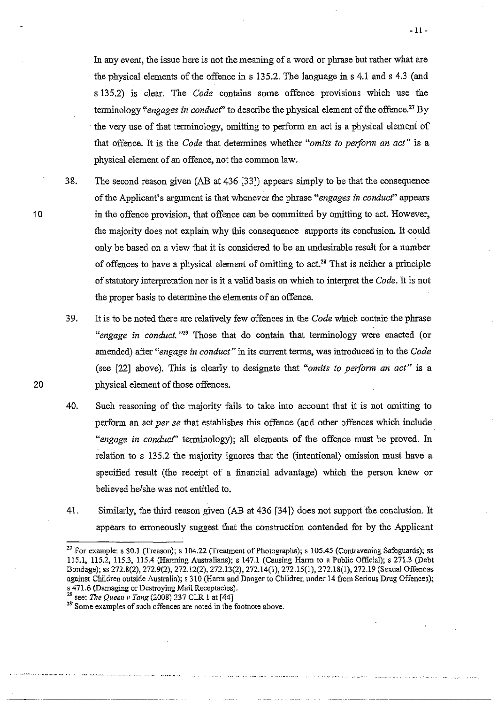In any event, the issue here is not the meaning of a word or phrase but rather what are the physical elements of the offence in s 135.2. The language in s 4.1 and s 4.3 (and s 135.2) is clear. The *Code* contains some offence provisions which use the terminology "*engages in conduct*" to describe the physical element of the offence.<sup>27</sup> By the very use of that terminology, omitting to perform an act is a physical element of that offence. It is the *Code* that determines whether *"omits to perfonn an act"* is a physical element of an offence, not the common law.

38. The second reason given (AB at 436 [33]) appears simply to be that the consequence of the Applicant's argument is that whenever the phrase *"engages in conduct'* appears in the offence provision, that offence can be committed by omitting to act. However, the majority does not explain why this consequence supports its conclusion. It could only be based on a view that it is considered to be an undesirable result for a number of offences to have a physical element of omitting to act.<sup>28</sup> That is neither a principle of statntory interpretation nor is it a valid basis on which to interpret the *Code.* It is not the proper basis to determine the elements of an offence.

39. It is to be noted there are relatively few offences in the *Code* which contain the phrase *"engage in conduct.* "29 Those that do contain that terminology were enacted (or amended) after "*engage in conduct"* in its current terms, was introduced in to the *Code* (see [22] above). This is clearly to designate that *"omits to perfonn an act"* is a physical element of those offences.

40. Such reasoning of the majority fails to take into account that it is not omitting to perform an act *per se* that establishes this offence (and other offences which include "engage in conduct" terminology); all elements of the offence must be proved. In relation to s 135.2 the majority ignores that the (intentional) omission must have a specified result (the receipt of a financial advantage) which the person knew or believed he/she was not entitled to.

41. Similarly, the third reason given (AB at 436 [34]) does not support the conclusion. It appears to erroneously suggest that the construction contended for by the Applicant

<sup>&</sup>lt;sup>27</sup> For example: s 80.1 (Treason); s 104.22 (Treatment of Photographs); s 105.45 (Contravening Safeguards); ss 115.1, 115.2, 115.3, 115.4 (Harming Australiaos); s 147.1 (Causing Harm to a Public Official); s 271.3 (Debt Bondage); ss 272.8(2), 272.9(2), 272.12(2), 272.13(2), 272.14(1), 272.15(1), 272.18(1), 272.19 (Sexual Offences against Children outside Australia); 5310 (Harm and Danger to Children under 14 from Serious Drug Offences); s 471.6 (Damaging or Destroying Mail Receptacles). <sup>28</sup> see: *The Queen v Tang* (2008) 237 CLR 1 at [44]

<sup>&</sup>lt;sup>29'</sup> Some examples of such offences are noted in the footnote above.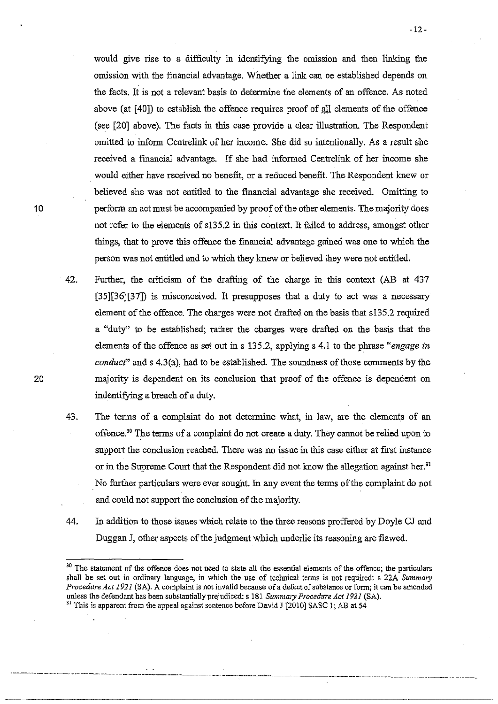would give rise to a difficulty in identifying the omission and then linking the omission with the financial advantage. Whether a link can be established depends on the facts. It is not a relevant basis to determine the elements of an offence. As noted above (at [40]) to establish the offence requires proof of all elements of the offence (see [20] above). The facts in this case provide a clear illustration. The Respondent omitted to inform Centrelink of her income. She did so intentionally. As a result she received a financial advantage. If she had informed Centrelink of her income she would either have received no benefit, or a reduced benefit. The Respondent knew or believed she was not entitled to the financial advantage she received. Omitting to perform an act must be accompanied by proof of the other elements. The majority does not refer to the elements of s135.2 in this context. It failed to address, amongst other things, that to prove this offence the financial advantage gained was one to which the person was not entitled and to which they knew or believed they were not entitled.

42. Further, the criticism of the drafting of the charge in this context (AB at 437 [35][36][37]) is misconceived. It presupposes that a duty to act was a necessary element of the offence. The charges were not drafted on the basis that s135.2 required a "duty" to be established; rather the charges were drafted on the basis that the elements of the offence as set out in s 135.2, applying s 4.1 to the phrase *"engage* in *conduct*" and s 4.3(a), had to be established. The soundness of those comments by the majority is dependent on its conclusion that proof of the offence is dependent on indentifying a breach of a duty.

- 43. The terms of a complaint do not determine what, in law, are the elements of an offence.30 The terms of a complaint do not create a duty. They cannot be relied upon to support the conclusion reached. There was no issue in this case either at first instance or in the Supreme Court that the Respondent did not know the allegation against her.<sup>31</sup> No further particulars were ever sought. In any event the terms of the complaint do not and could not support the conclusion of the majority.
- 44. In addition to those issues which relate to the three reasons proffered by Doyle CJ and Duggan J, other aspects of the judgment which underlie its reasoning are flawed.

.\_----\_ ..•. , .. \_. ----.- \_.-------- --\_.\_- .. \_ ....• \_-------\_.\_ .. \_\_ ... \_ ... \_.\_---\_ .. \_---\_ .. \_\_ .\_.\_---\_.:...-.\_.\_-\_.\_--------\_ .. \_\_ .. \_----\_.\_ ... \_\_ .\_ ... \_\_ .\_--... -----.... \_ ... \_-

20

<sup>&</sup>lt;sup>30</sup> The statement of the offence does not need to state all the essential elements of the offence; the particulars **shall be set out in ordinary language, in which the use of technical tenns is not required: s 22A** *Summmy Procedure Act 1921* (SA). A complaint is not invalid because of a defect of substance or form; it can be amended unless the defendant has been substantially prejudiced: s 181 Summary Procedure Act 1921 (SA). <sup>31</sup> This is apparent from the appeal against sentence before David J [2010] SASC 1; AB at 54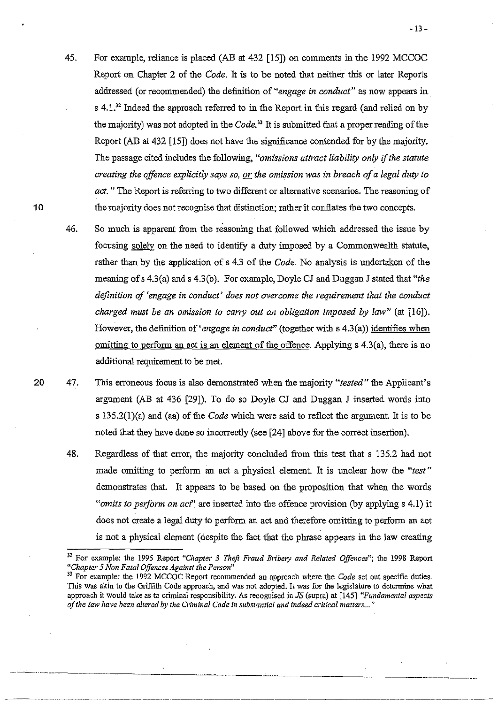- 45. For example, reliance is placed (AB at 432 [15]) on comments in the 1992 MCCOC Report on Chapter 2 of the *Code.* It is to be noted that neither this or later Reports addressed (or recommended) the definition of *"engage in conduct"* as now appears in s 4.1.<sup>32</sup> Indeed the approach referred to in the Report in this regard (and relied on by the majority) was not adopted in the *Code."* It is submitted that a proper reading of the Report (AB at 432 [15]) does not have the significance contended for by the majority. The passage cited includes the following, *"omissions attract liability only* if *the statute creating the offence e:xplicitly says so, or the omission* was *in breach of a legal duty to act.* " The Report is referring to two different or alternative scenarios. The reasoning of the majority does not recognise that distinction; rather it conflates the two concepts.
- 46. So mnch is apparent from the reasoning that followed which addressed the issue by focusing solely on the need to identify a duty imposed by a Commonwealth statute, rather than by the application of s 4.3 of the *Code.* No analysis is undertaken of the meaning ofs 4.3(a) and s 4.3(b). For example, Doyle CJ and Duggan J stated that *"the definition of 'engage in conduct' does not overcome the requirement that the conduct charged must be an omission to carry out an obligation imposed by law"* (at [16]). However, the definition of '*engage in conduct*" (together with s 4.3(a)) identifies when omitting to perform an act is an element of the offence. Applying s 4.3(a), there is no additional requirement to be met.
- 47. This erroneous focus is aJso demonstrated when the majority *"tested"* the Applicant's argnment (AB at 436 [29]). To do so Doyle CJ and Duggan J inserted words into s 135.2(1)(a) and (aa) of the *Code* which were said to reflect the argument. It is to be noted that they have done so incorrectly (see [24] above for the correct insertion).
	- 48. Regardless of that error, the majority concluded from this test that s 135.2 had not made omitting to perform an act a physical element. It is unclear how the *"test"*  demonstrates that. It appears to be based on the proposition that when the words *"omits to perform an ad'* are inserted into the offence provision (by applying s 4.1) it does not create a legal duty to perform an act and therefore omitting to perform an act is not a physical element (despite the fact that the phrase appears in the law creating

**10** 

20

---\_.\_--\_.\_--

<sup>&</sup>lt;sup>32</sup> For example: the 1995 Report "Chapter 3 Theft Fraud Bribery and Related Offences"; the 1998 Report *"Chapter* **5** *Non Fatal Offences Against the Person"* 

<sup>33</sup> For example: the 1992 MCCOC Report recommended an approach where the *Code* set out specific duties. This was akin to the Griffitb Code approach, and was not adopted. It was for the legislature to detennine what approach it would take as to criminal responsibility. As recognised in *JS* (supra) at [145] *"Fundamental aspects of the law have been altered by the Criminal Code in substantial and indeed critical matters ... "*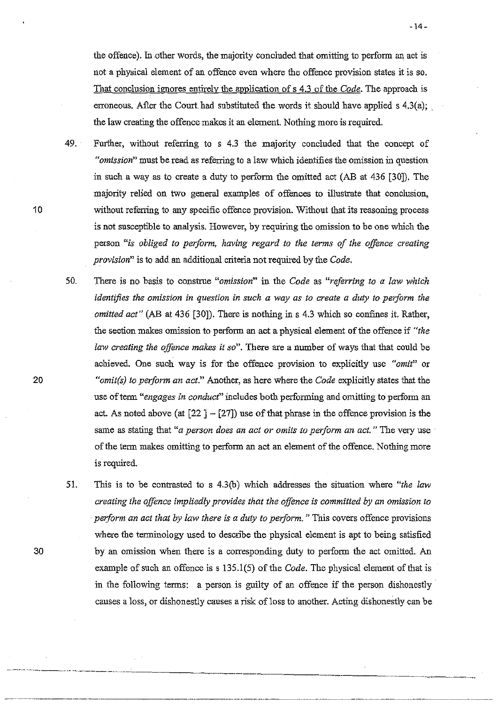the offence). In other words, the majority concluded that omitting to perform an act is not a physical element of an offence even where the offence provision states it is so. That conclusion ignores entirely the application of s 4.3 of the *Code.* The approach is erroneous. After the Court had substituted the words it should have applied  $s$  4.3(a); the law creating the offence makes it an element. Nothing more is required.

- 49. Further, without referring to s 4.3 the majority concluded that the concept of *"omission"* must be read as referring to a law which identifies the omission in question in such a way as to create a duty to perform the omitted act (AB at 436 [30]). The majority relied on two general examples of offences to illustrate that conclusion, without referring to any specific offence provision. Without that its reasoning process is not susceptible to analysis. However, by requiring the omission to be one which the person "is *obliged to perform, having regard to the terms of the offence creating provision"* is to add an additional criteria not required by the *Code.*
- 50. There is no basis to construe *"omission"* in the *Code* as *"referring to a law which identifies the omission in question in such a way as to create a duty to perform the omitted act"* (AB at 436 [30]). There is nothing in s 4.3 which so confines it. Rather, the section makes omission to perform an act a physical element of the offence if *"the law creating the offence makes it so".* There are a number of ways that that could be achieved. One such way is for the offence provision to explicitly use *"omit"* or "*omit(s) to perform an act.*" Another, as here where the *Code* explicitly states that the use of term *"engages in conduct"* includes both performing and omitting to perform an act. As noted above (at  $[22] - [27]$ ) use of that phrase in the offence provision is the same as stating that "*a person does an act or omits to perform an act.*" The very use of the term makes omitting to perform an act an element of the offence. Nothing more is required.

51. This is to be contrasted to s 4.3(b) which addresses the situation where *"the law creating the offence impliedly provides that the offence is committed by an omission to peiform an act that by law there* is *a duty to perform.* " This covers offence provisions where the terminology used to describe the physical element is apt to being satisfied by an omission when there is a corresponding duty to perform the act omitted. An example of such an offence is s 135.1(5) of the *Code.* The physical element of that is in the following terms: a person is guilty of an offence if the person dishonestly causes a loss, or dishonestly causes a risk of loss to another. Acting dishonestly can be

- .. ---.-'.-.----.~,,~ -.. ,---\_ .. - .... --------------------.~---------.

10

20

30

-----------------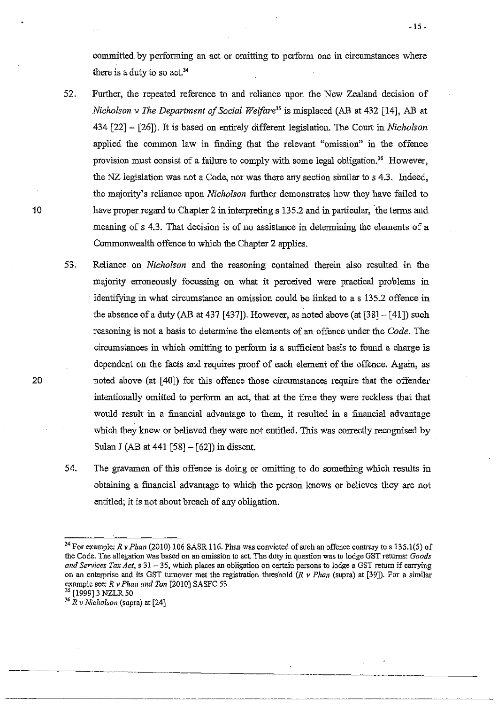committed. by performing an act or omitting to perform one in circumstances where there is a duty to so act.<sup>34</sup>

- 52. Further, the repeated reference to and reliance upon the New Zealand decision of *Nicholson v The Department of Social Welfare*<sup>35</sup> is misplaced (AB at 432 [14], AB at 434 [22] - [26]). It is based on entirely different legislation. The Court in *Nicholson*  applied the common law in finding that the relevant "omission" in the offence provision must consist of a failure to comply with some legal obligation." However, the NZ legislation was not a Code, nor was there any section similar to s 4.3. Indeed, the majority's reliance upon *Nicholson* further demonstrates how they have failed to have proper regard to Chapter 2 in interpreting s 135.2 and in particular, the terms and meaning of s 4.3. That decision is of no assistance in determining the elements of a Commonwealth offence to which the Chapter 2 applies.
- 53. Reliance on *Nicholson* and the reasoning contained therein also resulted in the majority erroneously focussing on what it perceived were practical problems in identifying in what circumstance an omission could be linked to a s 135.2 offence in the absence of a duty (AB at 437 [437]). However, as noted above (at  $[38] - [41]$ ) such reasoning is not a basis to determine the elements of an offence under the *Code.* The circumstances in which omitting to perform is a sufficient basis to found a charge is dependent on the facts and requires proof of each element of the offence. Again, as noted above (at [40]) for this offence those circumstances require that the offender intentionally omitted to perform an act, that at the time they were reckless that that would result in a financial advantage to them, it resulted in a financial advantage which they knew or believed they were not entitled. This was correctly recognised by Sulan J (AB at 441 [58] - [62]) in dissent.
- 54. The gravamen of this offence is doing or omitting to do something which results in obtaining a financial advantage to which the person knows or believes they are not entitled; it is not about breach of any obligation.

-------~--.-----

10

20

- 15 -

<sup>34</sup> For example: *R v Phan* (2010) *106* SASR 116. Phan was convicted of such an offence contrary to s 135.1(5) of **the Code. The allegation Was based on an omission to act The duty in question was to lodge GST returns:** *Goods and Services Tax Act,* **S 31 - 35, which places an obligation on certain persons to lodge a GST return if carrying**  on an enterprise and its GST turnover met the registration threshold (R *v Phan* (supra) at [39]). For a similar example see: *R v Phan and Ton* [2010] SASFC 53

<sup>&</sup>lt;sup>33</sup> [1999] 3 NZLR 50

<sup>36</sup>*R* \' *Nicholsoll* (supra) at [24]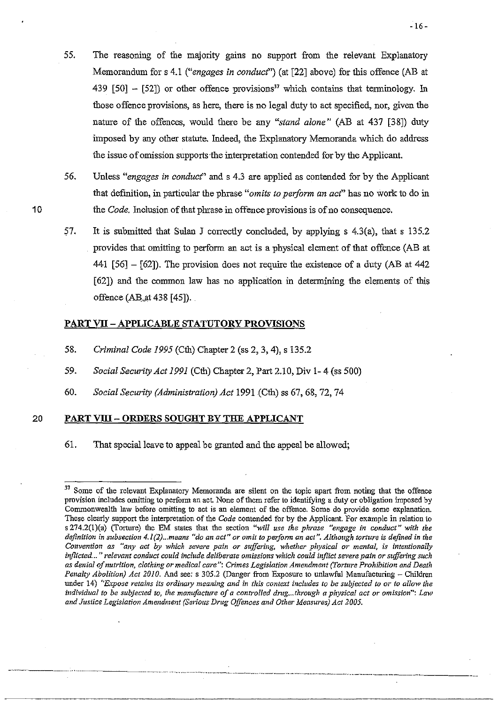- 55. The reasoning of the majority gains no support from the relevant Explanatory Memorandum for s 4\_1 *("engages in conduct")* (at [22] above) for this offence (AB at 439 [50]  $-$  [52]) or other offence provisions<sup>37</sup> which contains that terminology. In those offence provisions, as here, there is no legal duty to act specified, nor, given the nature of the offences, would there be any *"stand alone"* (AB at 437 [38]) duty imposed by any other statute. Indeed, the Explanatory Memoranda which do address the issue of omission supports the interpretation contended for by the Applicant.
- 56. Unless *"engages in conducf'* and s 43 are applied as contended for by the Applicant that definition, in particular the phrase "*omits to perform an act*" has no work to do in the *Code.* Inclusion of that phrase in offence provisions is of no consequence.
- 57. It is submitted that Sulan J correctly concluded, by applying s 4.3(a), that s 135.2 provides that omitting to perform an act is a physical element of that offence (AB at 441 [56]  $-$  [62]). The provision does not require the existence of a duty (AB at 442 [62]) and the common law has no application in determining the elements of this offence  $(AB_{a}at 438 [45])$ .

## PART VII- APPLICABLE STATUTORY PROVISIONS

- *58. Criminal Code* 1995 (Cth) Chapter 2 (ss 2, 3, 4), s 135.2
- *59. Social Security Act* 1991 (Cth) Chapter 2, Part 2.1 0, Div 1- 4 (ss 500)
- *60\_ Social Security (Administration) Act* 1991 (Cth) ss 67, 68, 72, 74

#### 20 PART VIII - ORDERS SOUGHT BY THE APPLICANT

---------

61. That special leave to appeal be granted and the appeal be allowed;

\_.\_- '-'~--'-------"-'-'-'-~-------'" .... \_\_ .. \_-\_. \_\_ . . \_\_ ..... \_--.. \_ .•. \_-.. \_--\_ .. \_.\_ .. \_.\_ ..... \_---\_ .. \_------\_.\_-

<sup>&</sup>lt;sup>37</sup> Some of the relevant Explanatory Memoranda are silent on the topic apart from noting that the offence provision includes omitting to perform an act. None of them refer to identifying a duty or obligation imposed by Commonwealth law before omitting to act is an element of the offence. Some do provide some explanation. These clearly support the interpretation of the *Code* contended for by the Applicant. For example in relation to s 274.2(1)(a) (Torture) the EM states that the section *"will use the phrase "engage* in *conduct" with the definition in subsection 4.1(2)... means "do an act" or omit to perform an act". Although torture is defined in the Convention as "any act by which severe pain or suffering, whether physical or mental, is intentionally inflicted ...* 11 *relevant conduct could include deliberate omissions which could inflict severe pain or suffering such as denial of nutrition, clothing or medical care": Crimes Legislation Amendment (Torture Prohibition and Death Penalty Abolition) Act 2010.* And see: s 305.2 (Danger from Exposure to unlawful Manufacturing - Children under 14) *"Expose retains its ordinary meaning and in this context includes to be subjected to or to allow the individual to* be *subjected to, the manufacture of a controlled drug ... through a physical act or omission": Law and Jusiice Legis/ation Amendment (Serious Drug Offences and Other Measures) Act 2005.*